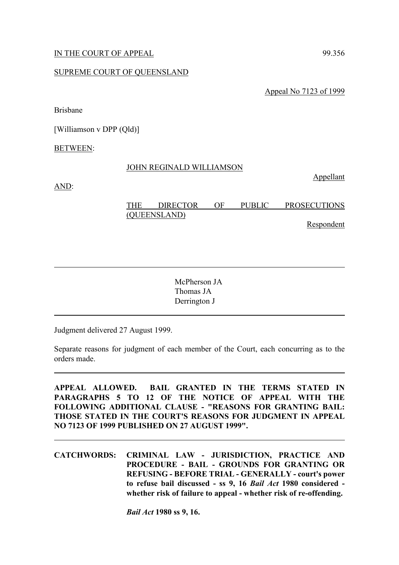# IN THE COURT OF APPEAL 99.356

# SUPREME COURT OF QUEENSLAND

Appeal No 7123 of 1999

Brisbane

[Williamson v DPP (Qld)]

BETWEEN:

#### JOHN REGINALD WILLIAMSON

Appellant

AND:

| <b>THE</b>   | <b>DIRECTOR</b> | ΩE | <b>PUBLIC</b> | <b>PROSECUTIONS</b> |  |
|--------------|-----------------|----|---------------|---------------------|--|
| (QUEENSLAND) |                 |    |               |                     |  |
|              |                 |    |               | Respondent          |  |

McPherson JA Thomas JA Derrington J

Judgment delivered 27 August 1999.

Separate reasons for judgment of each member of the Court, each concurring as to the orders made.

**APPEAL ALLOWED. BAIL GRANTED IN THE TERMS STATED IN PARAGRAPHS 5 TO 12 OF THE NOTICE OF APPEAL WITH THE FOLLOWING ADDITIONAL CLAUSE - "REASONS FOR GRANTING BAIL: THOSE STATED IN THE COURT'S REASONS FOR JUDGMENT IN APPEAL NO 7123 OF 1999 PUBLISHED ON 27 AUGUST 1999".**

**CATCHWORDS: CRIMINAL LAW - JURISDICTION, PRACTICE AND PROCEDURE - BAIL - GROUNDS FOR GRANTING OR REFUSING - BEFORE TRIAL - GENERALLY - court's power to refuse bail discussed - ss 9, 16** *Bail Act* **1980 considered whether risk of failure to appeal - whether risk of re-offending.**

*Bail Act* **1980 ss 9, 16.**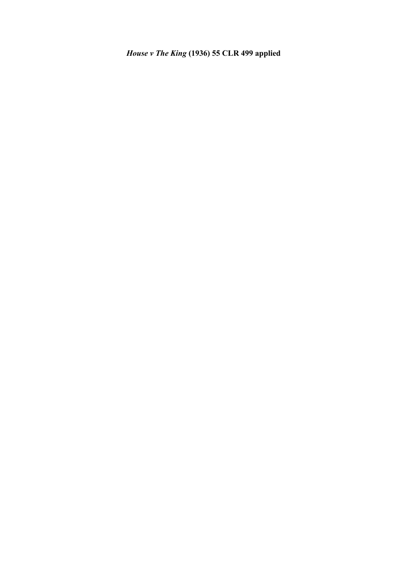# *House v The King* **(1936) 55 CLR 499 applied**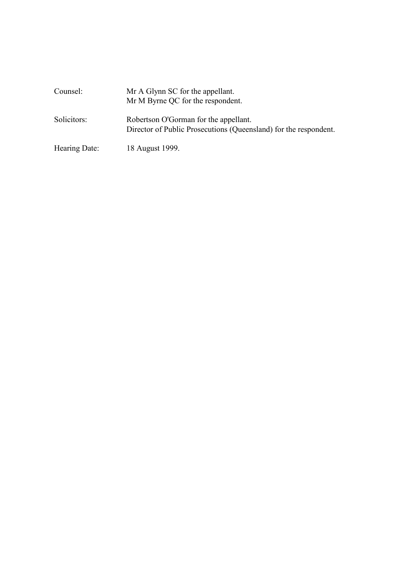| Counsel:      | Mr A Glynn SC for the appellant.<br>Mr M Byrne QC for the respondent.                                     |
|---------------|-----------------------------------------------------------------------------------------------------------|
| Solicitors:   | Robertson O'Gorman for the appellant.<br>Director of Public Prosecutions (Queensland) for the respondent. |
| Hearing Date: | 18 August 1999.                                                                                           |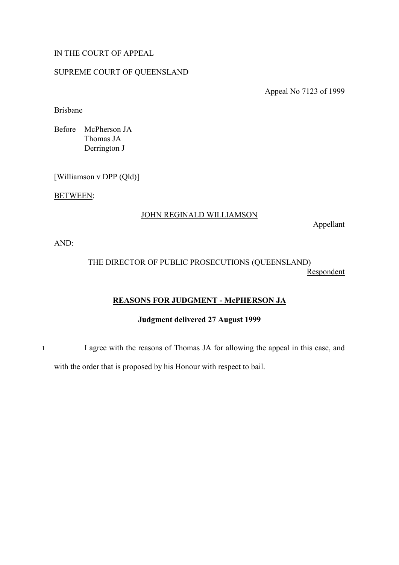# IN THE COURT OF APPEAL

## SUPREME COURT OF QUEENSLAND

Appeal No 7123 of 1999

Brisbane

Before McPherson JA Thomas JA Derrington J

[Williamson v DPP (Qld)]

BETWEEN:

# JOHN REGINALD WILLIAMSON

Appellant

AND:

# THE DIRECTOR OF PUBLIC PROSECUTIONS (QUEENSLAND) **Respondent**

# **REASONS FOR JUDGMENT - McPHERSON JA**

## **Judgment delivered 27 August 1999**

1 I agree with the reasons of Thomas JA for allowing the appeal in this case, and

with the order that is proposed by his Honour with respect to bail.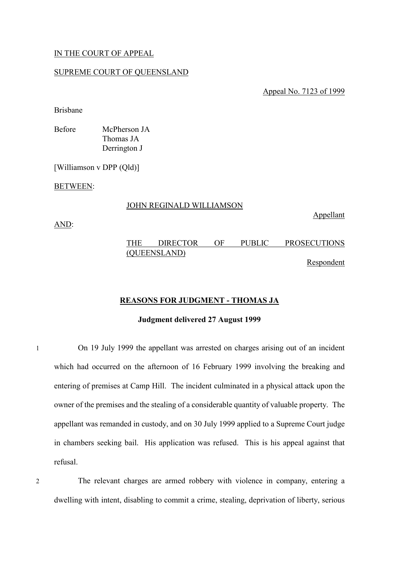# IN THE COURT OF APPEAL

#### SUPREME COURT OF QUEENSLAND

Appeal No. 7123 of 1999

Brisbane

Before McPherson JA Thomas JA Derrington J

[Williamson v DPP (Qld)]

BETWEEN:

#### JOHN REGINALD WILLIAMSON

AND:

THE DIRECTOR OF PUBLIC PROSECUTIONS (QUEENSLAND)

Respondent

Appellant

# **REASONS FOR JUDGMENT - THOMAS JA**

## **Judgment delivered 27 August 1999**

1 On 19 July 1999 the appellant was arrested on charges arising out of an incident which had occurred on the afternoon of 16 February 1999 involving the breaking and entering of premises at Camp Hill. The incident culminated in a physical attack upon the owner of the premises and the stealing of a considerable quantity of valuable property. The appellant was remanded in custody, and on 30 July 1999 applied to a Supreme Court judge in chambers seeking bail. His application was refused. This is his appeal against that refusal.

2 The relevant charges are armed robbery with violence in company, entering a dwelling with intent, disabling to commit a crime, stealing, deprivation of liberty, serious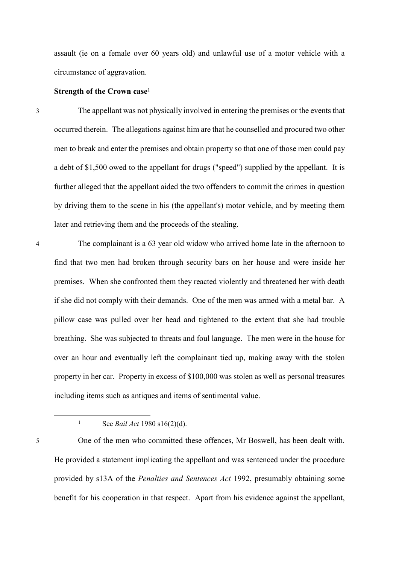assault (ie on a female over 60 years old) and unlawful use of a motor vehicle with a circumstance of aggravation.

# **Strength of the Crown case**<sup>1</sup>

3 The appellant was not physically involved in entering the premises or the events that occurred therein. The allegations against him are that he counselled and procured two other men to break and enter the premises and obtain property so that one of those men could pay a debt of \$1,500 owed to the appellant for drugs ("speed") supplied by the appellant. It is further alleged that the appellant aided the two offenders to commit the crimes in question by driving them to the scene in his (the appellant's) motor vehicle, and by meeting them later and retrieving them and the proceeds of the stealing.

4 The complainant is a 63 year old widow who arrived home late in the afternoon to find that two men had broken through security bars on her house and were inside her premises. When she confronted them they reacted violently and threatened her with death if she did not comply with their demands. One of the men was armed with a metal bar. A pillow case was pulled over her head and tightened to the extent that she had trouble breathing. She was subjected to threats and foul language. The men were in the house for over an hour and eventually left the complainant tied up, making away with the stolen property in her car. Property in excess of \$100,000 was stolen as well as personal treasures including items such as antiques and items of sentimental value.

<sup>1</sup> See *Bail Act* 1980 s16(2)(d).

<sup>5</sup> One of the men who committed these offences, Mr Boswell, has been dealt with. He provided a statement implicating the appellant and was sentenced under the procedure provided by s13A of the *Penalties and Sentences Act* 1992, presumably obtaining some benefit for his cooperation in that respect. Apart from his evidence against the appellant,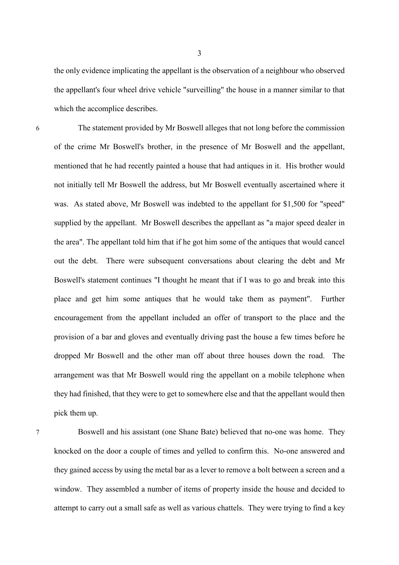the only evidence implicating the appellant is the observation of a neighbour who observed the appellant's four wheel drive vehicle "surveilling" the house in a manner similar to that which the accomplice describes.

6 The statement provided by Mr Boswell alleges that not long before the commission of the crime Mr Boswell's brother, in the presence of Mr Boswell and the appellant, mentioned that he had recently painted a house that had antiques in it. His brother would not initially tell Mr Boswell the address, but Mr Boswell eventually ascertained where it was. As stated above, Mr Boswell was indebted to the appellant for \$1,500 for "speed" supplied by the appellant. Mr Boswell describes the appellant as "a major speed dealer in the area". The appellant told him that if he got him some of the antiques that would cancel out the debt. There were subsequent conversations about clearing the debt and Mr Boswell's statement continues "I thought he meant that if I was to go and break into this place and get him some antiques that he would take them as payment". Further encouragement from the appellant included an offer of transport to the place and the provision of a bar and gloves and eventually driving past the house a few times before he dropped Mr Boswell and the other man off about three houses down the road. The arrangement was that Mr Boswell would ring the appellant on a mobile telephone when they had finished, that they were to get to somewhere else and that the appellant would then pick them up.

7 Boswell and his assistant (one Shane Bate) believed that no-one was home. They knocked on the door a couple of times and yelled to confirm this. No-one answered and they gained access by using the metal bar as a lever to remove a bolt between a screen and a window. They assembled a number of items of property inside the house and decided to attempt to carry out a small safe as well as various chattels. They were trying to find a key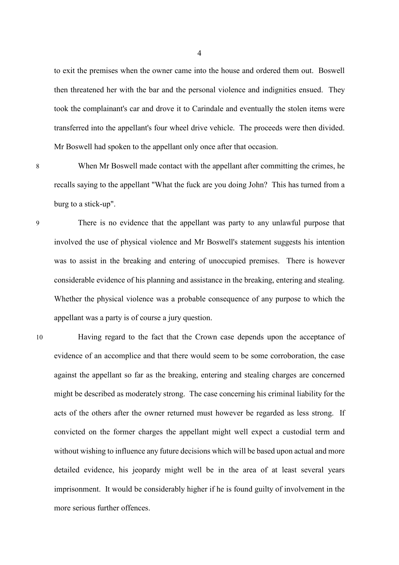to exit the premises when the owner came into the house and ordered them out. Boswell then threatened her with the bar and the personal violence and indignities ensued. They took the complainant's car and drove it to Carindale and eventually the stolen items were transferred into the appellant's four wheel drive vehicle. The proceeds were then divided. Mr Boswell had spoken to the appellant only once after that occasion.

8 When Mr Boswell made contact with the appellant after committing the crimes, he recalls saying to the appellant "What the fuck are you doing John? This has turned from a burg to a stick-up".

9 There is no evidence that the appellant was party to any unlawful purpose that involved the use of physical violence and Mr Boswell's statement suggests his intention was to assist in the breaking and entering of unoccupied premises. There is however considerable evidence of his planning and assistance in the breaking, entering and stealing. Whether the physical violence was a probable consequence of any purpose to which the appellant was a party is of course a jury question.

10 Having regard to the fact that the Crown case depends upon the acceptance of evidence of an accomplice and that there would seem to be some corroboration, the case against the appellant so far as the breaking, entering and stealing charges are concerned might be described as moderately strong. The case concerning his criminal liability for the acts of the others after the owner returned must however be regarded as less strong. If convicted on the former charges the appellant might well expect a custodial term and without wishing to influence any future decisions which will be based upon actual and more detailed evidence, his jeopardy might well be in the area of at least several years imprisonment. It would be considerably higher if he is found guilty of involvement in the more serious further offences.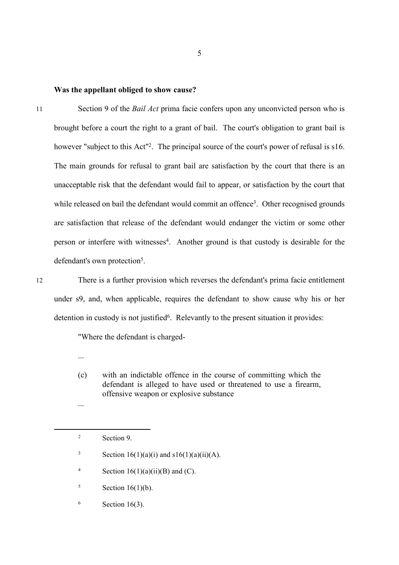#### **Was the appellant obliged to show cause?**

11 Section 9 of the *Bail Act* prima facie confers upon any unconvicted person who is brought before a court the right to a grant of bail. The court's obligation to grant bail is however "subject to this Act"<sup>2</sup>. The principal source of the court's power of refusal is s16. The main grounds for refusal to grant bail are satisfaction by the court that there is an unacceptable risk that the defendant would fail to appear, or satisfaction by the court that while released on bail the defendant would commit an offence<sup>3</sup>. Other recognised grounds are satisfaction that release of the defendant would endanger the victim or some other person or interfere with witnesses<sup>4</sup>. Another ground is that custody is desirable for the defendant's own protection<sup>5</sup>.

12 There is a further provision which reverses the defendant's prima facie entitlement under s9, and, when applicable, requires the defendant to show cause why his or her detention in custody is not justified<sup>6</sup>. Relevantly to the present situation it provides:

"Where the defendant is charged-

(c) with an indictable offence in the course of committing which the defendant is alleged to have used or threatened to use a firearm, offensive weapon or explosive substance

...

...

<sup>3</sup> Section 16(1)(a)(i) and s16(1)(a)(ii)(A).

<sup>4</sup> Section 16(1)(a)(ii)(B) and (C).

- $5$  Section 16(1)(b).
- $6$  Section 16(3).

<sup>2</sup> Section 9.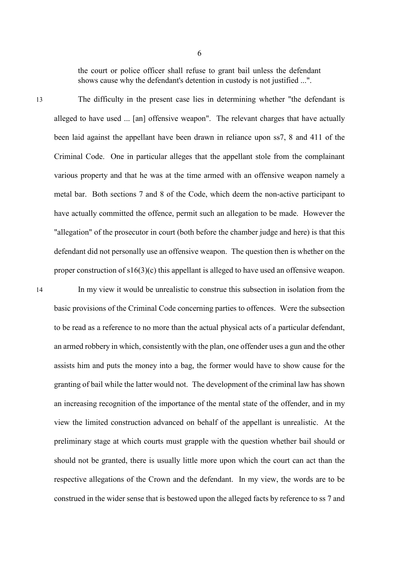the court or police officer shall refuse to grant bail unless the defendant shows cause why the defendant's detention in custody is not justified ...".

13 The difficulty in the present case lies in determining whether "the defendant is alleged to have used ... [an] offensive weapon". The relevant charges that have actually been laid against the appellant have been drawn in reliance upon ss7, 8 and 411 of the Criminal Code. One in particular alleges that the appellant stole from the complainant various property and that he was at the time armed with an offensive weapon namely a metal bar. Both sections 7 and 8 of the Code, which deem the non-active participant to have actually committed the offence, permit such an allegation to be made. However the "allegation" of the prosecutor in court (both before the chamber judge and here) is that this defendant did not personally use an offensive weapon. The question then is whether on the proper construction of s16(3)(c) this appellant is alleged to have used an offensive weapon.

14 In my view it would be unrealistic to construe this subsection in isolation from the basic provisions of the Criminal Code concerning parties to offences. Were the subsection to be read as a reference to no more than the actual physical acts of a particular defendant, an armed robbery in which, consistently with the plan, one offender uses a gun and the other assists him and puts the money into a bag, the former would have to show cause for the granting of bail while the latter would not. The development of the criminal law has shown an increasing recognition of the importance of the mental state of the offender, and in my view the limited construction advanced on behalf of the appellant is unrealistic. At the preliminary stage at which courts must grapple with the question whether bail should or should not be granted, there is usually little more upon which the court can act than the respective allegations of the Crown and the defendant. In my view, the words are to be construed in the wider sense that is bestowed upon the alleged facts by reference to ss 7 and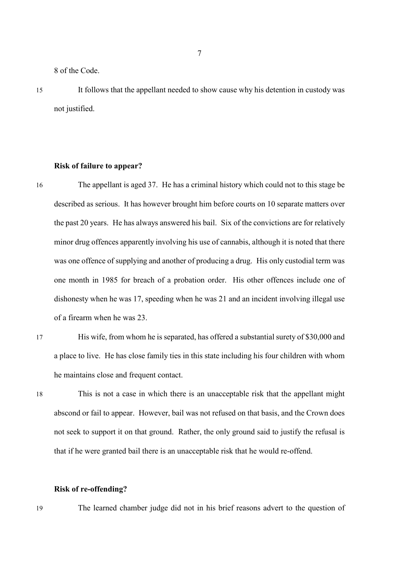8 of the Code.

15 It follows that the appellant needed to show cause why his detention in custody was not justified.

#### **Risk of failure to appear?**

- 16 The appellant is aged 37. He has a criminal history which could not to this stage be described as serious. It has however brought him before courts on 10 separate matters over the past 20 years. He has always answered his bail. Six of the convictions are for relatively minor drug offences apparently involving his use of cannabis, although it is noted that there was one offence of supplying and another of producing a drug. His only custodial term was one month in 1985 for breach of a probation order. His other offences include one of dishonesty when he was 17, speeding when he was 21 and an incident involving illegal use of a firearm when he was 23.
- 17 His wife, from whom he is separated, has offered a substantial surety of \$30,000 and a place to live. He has close family ties in this state including his four children with whom he maintains close and frequent contact.
- 

18 This is not a case in which there is an unacceptable risk that the appellant might abscond or fail to appear. However, bail was not refused on that basis, and the Crown does not seek to support it on that ground. Rather, the only ground said to justify the refusal is that if he were granted bail there is an unacceptable risk that he would re-offend.

#### **Risk of re-offending?**

19 The learned chamber judge did not in his brief reasons advert to the question of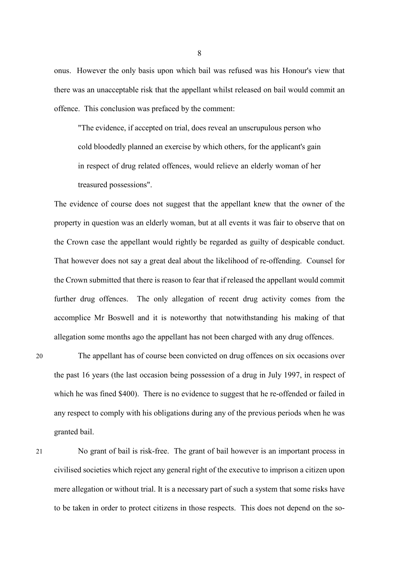onus. However the only basis upon which bail was refused was his Honour's view that there was an unacceptable risk that the appellant whilst released on bail would commit an offence. This conclusion was prefaced by the comment:

"The evidence, if accepted on trial, does reveal an unscrupulous person who cold bloodedly planned an exercise by which others, for the applicant's gain in respect of drug related offences, would relieve an elderly woman of her treasured possessions".

The evidence of course does not suggest that the appellant knew that the owner of the property in question was an elderly woman, but at all events it was fair to observe that on the Crown case the appellant would rightly be regarded as guilty of despicable conduct. That however does not say a great deal about the likelihood of re-offending. Counsel for the Crown submitted that there is reason to fear that if released the appellant would commit further drug offences. The only allegation of recent drug activity comes from the accomplice Mr Boswell and it is noteworthy that notwithstanding his making of that allegation some months ago the appellant has not been charged with any drug offences.

20 The appellant has of course been convicted on drug offences on six occasions over the past 16 years (the last occasion being possession of a drug in July 1997, in respect of which he was fined \$400). There is no evidence to suggest that he re-offended or failed in any respect to comply with his obligations during any of the previous periods when he was granted bail.

21 No grant of bail is risk-free. The grant of bail however is an important process in civilised societies which reject any general right of the executive to imprison a citizen upon mere allegation or without trial. It is a necessary part of such a system that some risks have to be taken in order to protect citizens in those respects. This does not depend on the so-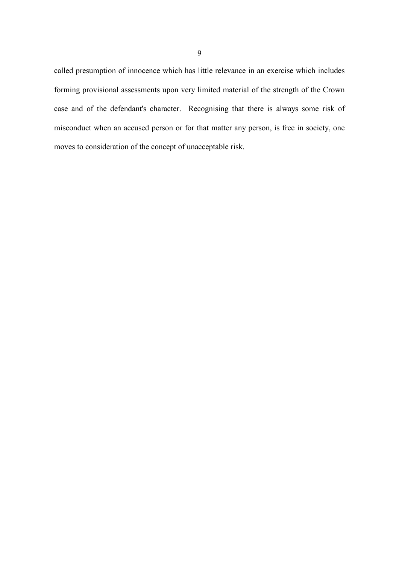called presumption of innocence which has little relevance in an exercise which includes forming provisional assessments upon very limited material of the strength of the Crown case and of the defendant's character. Recognising that there is always some risk of misconduct when an accused person or for that matter any person, is free in society, one moves to consideration of the concept of unacceptable risk.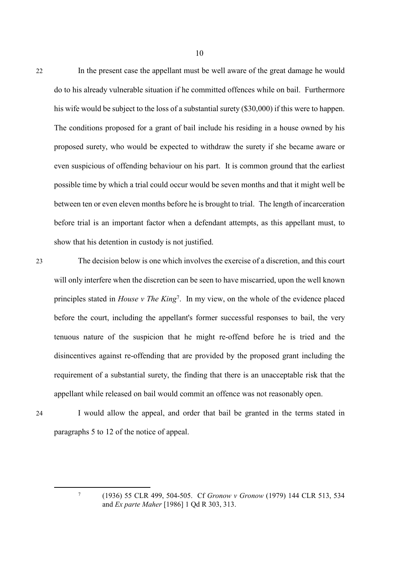22 In the present case the appellant must be well aware of the great damage he would do to his already vulnerable situation if he committed offences while on bail. Furthermore his wife would be subject to the loss of a substantial surety (\$30,000) if this were to happen. The conditions proposed for a grant of bail include his residing in a house owned by his proposed surety, who would be expected to withdraw the surety if she became aware or even suspicious of offending behaviour on his part. It is common ground that the earliest possible time by which a trial could occur would be seven months and that it might well be between ten or even eleven months before he is brought to trial. The length of incarceration before trial is an important factor when a defendant attempts, as this appellant must, to show that his detention in custody is not justified.

10

23 The decision below is one which involves the exercise of a discretion, and this court will only interfere when the discretion can be seen to have miscarried, upon the well known principles stated in *House v The King*<sup>7</sup> . In my view, on the whole of the evidence placed before the court, including the appellant's former successful responses to bail, the very tenuous nature of the suspicion that he might re-offend before he is tried and the disincentives against re-offending that are provided by the proposed grant including the requirement of a substantial surety, the finding that there is an unacceptable risk that the appellant while released on bail would commit an offence was not reasonably open.

24 I would allow the appeal, and order that bail be granted in the terms stated in paragraphs 5 to 12 of the notice of appeal.

<sup>(1936) 55</sup> CLR 499, 504-505. Cf *Gronow v Gronow* (1979) 144 CLR 513, 534 and *Ex parte Maher* [1986] 1 Qd R 303, 313.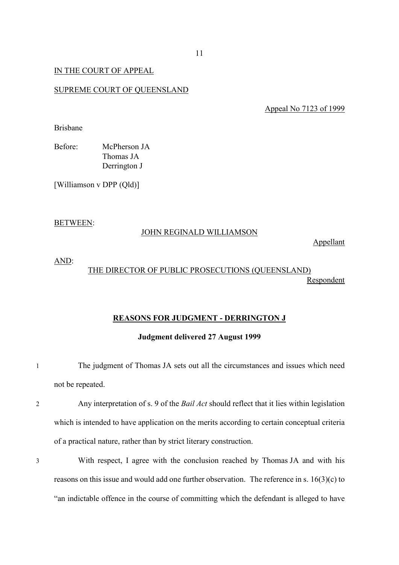## IN THE COURT OF APPEAL

#### SUPREME COURT OF QUEENSLAND

Appeal No 7123 of 1999

Brisbane

Before: McPherson JA Thomas JA Derrington J

[Williamson v DPP (Qld)]

#### BETWEEN:

#### JOHN REGINALD WILLIAMSON

Appellant

# AND:

# THE DIRECTOR OF PUBLIC PROSECUTIONS (QUEENSLAND) Respondent

#### **REASONS FOR JUDGMENT - DERRINGTON J**

#### **Judgment delivered 27 August 1999**

- 1 The judgment of Thomas JA sets out all the circumstances and issues which need not be repeated.
- 2 Any interpretation of s. 9 of the *Bail Act* should reflect that it lies within legislation which is intended to have application on the merits according to certain conceptual criteria of a practical nature, rather than by strict literary construction.
- 3 With respect, I agree with the conclusion reached by Thomas JA and with his reasons on this issue and would add one further observation. The reference in s. 16(3)(c) to "an indictable offence in the course of committing which the defendant is alleged to have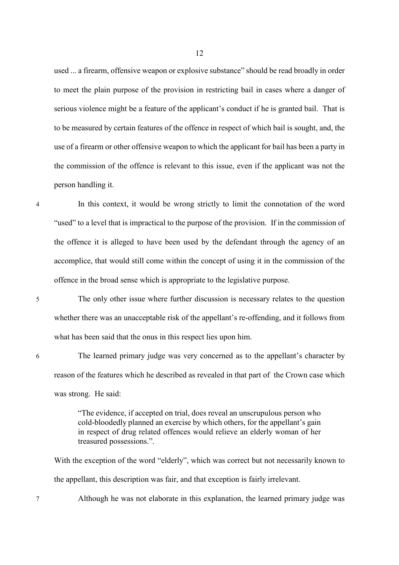used ... a firearm, offensive weapon or explosive substance" should be read broadly in order to meet the plain purpose of the provision in restricting bail in cases where a danger of serious violence might be a feature of the applicant's conduct if he is granted bail. That is to be measured by certain features of the offence in respect of which bail is sought, and, the use of a firearm or other offensive weapon to which the applicant for bail has been a party in the commission of the offence is relevant to this issue, even if the applicant was not the person handling it.

4 In this context, it would be wrong strictly to limit the connotation of the word "used" to a level that is impractical to the purpose of the provision. If in the commission of the offence it is alleged to have been used by the defendant through the agency of an accomplice, that would still come within the concept of using it in the commission of the offence in the broad sense which is appropriate to the legislative purpose.

5 The only other issue where further discussion is necessary relates to the question whether there was an unacceptable risk of the appellant's re-offending, and it follows from what has been said that the onus in this respect lies upon him.

6 The learned primary judge was very concerned as to the appellant's character by reason of the features which he described as revealed in that part of the Crown case which was strong. He said:

> "The evidence, if accepted on trial, does reveal an unscrupulous person who cold-bloodedly planned an exercise by which others, for the appellant's gain in respect of drug related offences would relieve an elderly woman of her treasured possessions.".

With the exception of the word "elderly", which was correct but not necessarily known to the appellant, this description was fair, and that exception is fairly irrelevant.

7 Although he was not elaborate in this explanation, the learned primary judge was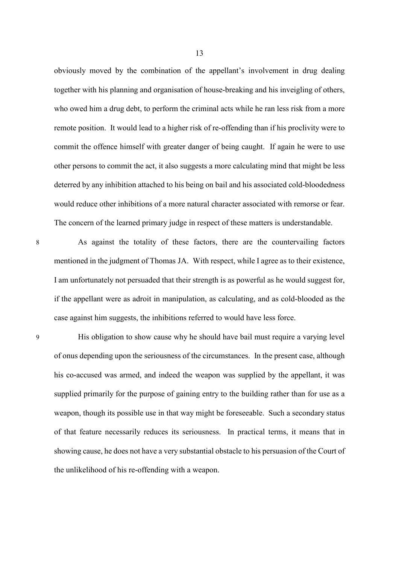obviously moved by the combination of the appellant's involvement in drug dealing together with his planning and organisation of house-breaking and his inveigling of others, who owed him a drug debt, to perform the criminal acts while he ran less risk from a more remote position. It would lead to a higher risk of re-offending than if his proclivity were to commit the offence himself with greater danger of being caught. If again he were to use other persons to commit the act, it also suggests a more calculating mind that might be less deterred by any inhibition attached to his being on bail and his associated cold-bloodedness would reduce other inhibitions of a more natural character associated with remorse or fear. The concern of the learned primary judge in respect of these matters is understandable.

8 As against the totality of these factors, there are the countervailing factors mentioned in the judgment of Thomas JA. With respect, while I agree as to their existence, I am unfortunately not persuaded that their strength is as powerful as he would suggest for, if the appellant were as adroit in manipulation, as calculating, and as cold-blooded as the case against him suggests, the inhibitions referred to would have less force.

9 His obligation to show cause why he should have bail must require a varying level of onus depending upon the seriousness of the circumstances. In the present case, although his co-accused was armed, and indeed the weapon was supplied by the appellant, it was supplied primarily for the purpose of gaining entry to the building rather than for use as a weapon, though its possible use in that way might be foreseeable. Such a secondary status of that feature necessarily reduces its seriousness. In practical terms, it means that in showing cause, he does not have a very substantial obstacle to his persuasion of the Court of the unlikelihood of his re-offending with a weapon.